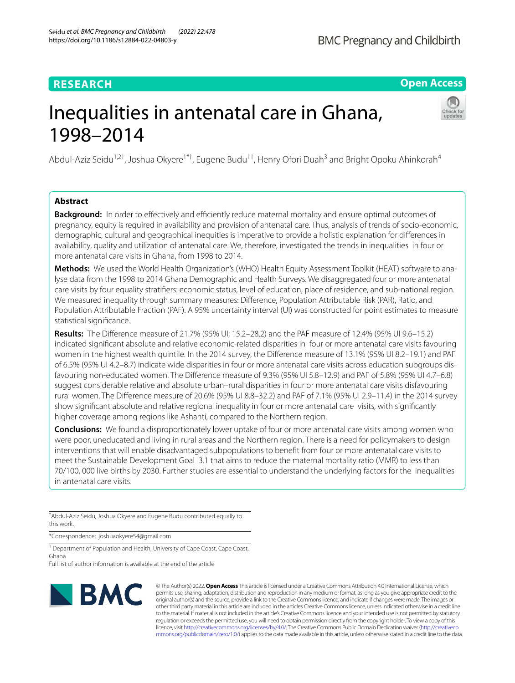# **RESEARCH**

**Open Access**

# Inequalities in antenatal care in Ghana, 1998–2014

Abdul-Aziz Seidu<sup>1,2†</sup>, Joshua Okyere<sup>1\*†</sup>, Eugene Budu<sup>1†</sup>, Henry Ofori Duah<sup>3</sup> and Bright Opoku Ahinkorah<sup>4</sup>

# **Abstract**

**Background:** In order to effectively and efficiently reduce maternal mortality and ensure optimal outcomes of pregnancy, equity is required in availability and provision of antenatal care. Thus, analysis of trends of socio-economic, demographic, cultural and geographical inequities is imperative to provide a holistic explanation for diferences in availability, quality and utilization of antenatal care. We, therefore, investigated the trends in inequalities in four or more antenatal care visits in Ghana, from 1998 to 2014.

Methods: We used the World Health Organization's (WHO) Health Equity Assessment Toolkit (HEAT) software to analyse data from the 1998 to 2014 Ghana Demographic and Health Surveys. We disaggregated four or more antenatal care visits by four equality stratifers: economic status, level of education, place of residence, and sub-national region. We measured inequality through summary measures: Diference, Population Attributable Risk (PAR), Ratio, and Population Attributable Fraction (PAF). A 95% uncertainty interval (UI) was constructed for point estimates to measure statistical signifcance.

**Results:** The Diference measure of 21.7% (95% UI; 15.2–28.2) and the PAF measure of 12.4% (95% UI 9.6–15.2) indicated signifcant absolute and relative economic-related disparities in four or more antenatal care visits favouring women in the highest wealth quintile. In the 2014 survey, the Diference measure of 13.1% (95% UI 8.2–19.1) and PAF of 6.5% (95% UI 4.2–8.7) indicate wide disparities in four or more antenatal care visits across education subgroups dis‑ favouring non-educated women. The Diference measure of 9.3% (95% UI 5.8–12.9) and PAF of 5.8% (95% UI 4.7–6.8) suggest considerable relative and absolute urban–rural disparities in four or more antenatal care visits disfavouring rural women. The Diference measure of 20.6% (95% UI 8.8–32.2) and PAF of 7.1% (95% UI 2.9–11.4) in the 2014 survey show signifcant absolute and relative regional inequality in four or more antenatal care visits, with signifcantly higher coverage among regions like Ashanti, compared to the Northern region.

**Conclusions:** We found a disproportionately lower uptake of four or more antenatal care visits among women who were poor, uneducated and living in rural areas and the Northern region. There is a need for policymakers to design interventions that will enable disadvantaged subpopulations to beneft from four or more antenatal care visits to meet the Sustainable Development Goal 3.1 that aims to reduce the maternal mortality ratio (MMR) to less than 70/100, 000 live births by 2030. Further studies are essential to understand the underlying factors for the inequalities in antenatal care visits.

† Abdul-Aziz Seidu, Joshua Okyere and Eugene Budu contributed equally to this work.

\*Correspondence: joshuaokyere54@gmail.com

<sup>1</sup> Department of Population and Health, University of Cape Coast, Cape Coast, Ghana

Full list of author information is available at the end of the article



© The Author(s) 2022. **Open Access** This article is licensed under a Creative Commons Attribution 4.0 International License, which permits use, sharing, adaptation, distribution and reproduction in any medium or format, as long as you give appropriate credit to the original author(s) and the source, provide a link to the Creative Commons licence, and indicate if changes were made. The images or other third party material in this article are included in the article's Creative Commons licence, unless indicated otherwise in a credit line to the material. If material is not included in the article's Creative Commons licence and your intended use is not permitted by statutory regulation or exceeds the permitted use, you will need to obtain permission directly from the copyright holder. To view a copy of this licence, visit [http://creativecommons.org/licenses/by/4.0/.](http://creativecommons.org/licenses/by/4.0/) The Creative Commons Public Domain Dedication waiver ([http://creativeco](http://creativecommons.org/publicdomain/zero/1.0/) [mmons.org/publicdomain/zero/1.0/](http://creativecommons.org/publicdomain/zero/1.0/)) applies to the data made available in this article, unless otherwise stated in a credit line to the data.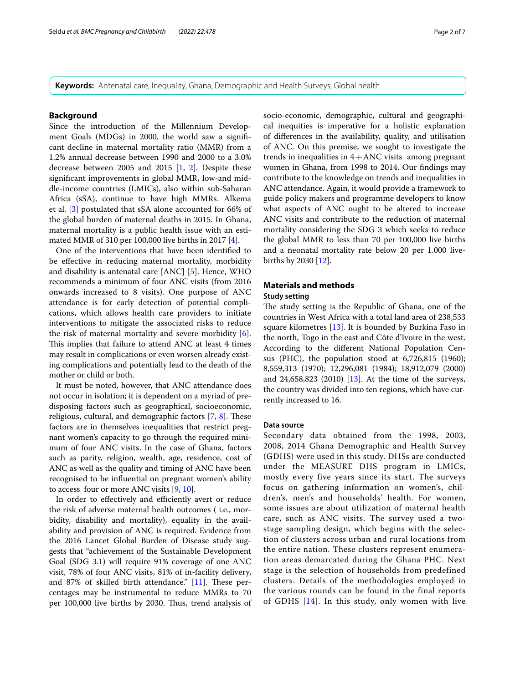**Keywords:** Antenatal care, Inequality, Ghana, Demographic and Health Surveys, Global health

# **Background**

Since the introduction of the Millennium Development Goals (MDGs) in 2000, the world saw a signifcant decline in maternal mortality ratio (MMR) from a 1.2% annual decrease between 1990 and 2000 to a 3.0% decrease between 2005 and 2015 [[1,](#page-5-0) [2\]](#page-5-1). Despite these signifcant improvements in global MMR, low-and middle-income countries (LMICs), also within sub-Saharan Africa (sSA), continue to have high MMRs. Alkema et al. [[3\]](#page-5-2) postulated that sSA alone accounted for 66% of the global burden of maternal deaths in 2015. In Ghana, maternal mortality is a public health issue with an estimated MMR of 310 per 100,000 live births in 2017 [\[4](#page-5-3)].

One of the interventions that have been identifed to be efective in reducing maternal mortality, morbidity and disability is antenatal care [ANC] [\[5](#page-5-4)]. Hence, WHO recommends a minimum of four ANC visits (from 2016 onwards increased to 8 visits). One purpose of ANC attendance is for early detection of potential complications, which allows health care providers to initiate interventions to mitigate the associated risks to reduce the risk of maternal mortality and severe morbidity [\[6](#page-5-5)]. This implies that failure to attend ANC at least 4 times may result in complications or even worsen already existing complications and potentially lead to the death of the mother or child or both.

It must be noted, however, that ANC attendance does not occur in isolation; it is dependent on a myriad of predisposing factors such as geographical, socioeconomic, religious, cultural, and demographic factors  $[7, 8]$  $[7, 8]$  $[7, 8]$  $[7, 8]$ . These factors are in themselves inequalities that restrict pregnant women's capacity to go through the required minimum of four ANC visits. In the case of Ghana, factors such as parity, religion, wealth, age, residence, cost of ANC as well as the quality and timing of ANC have been recognised to be infuential on pregnant women's ability to access four or more ANC visits [[9,](#page-5-8) [10](#page-5-9)].

In order to effectively and efficiently avert or reduce the risk of adverse maternal health outcomes ( i.e., morbidity, disability and mortality), equality in the availability and provision of ANC is required. Evidence from the 2016 Lancet Global Burden of Disease study suggests that "achievement of the Sustainable Development Goal (SDG 3.1) will require 91% coverage of one ANC visit, 78% of four ANC visits, 81% of in-facility delivery, and 87% of skilled birth attendance."  $[11]$  $[11]$ . These percentages may be instrumental to reduce MMRs to 70 per 100,000 live births by 2030. Tus, trend analysis of socio-economic, demographic, cultural and geographical inequities is imperative for a holistic explanation of diferences in the availability, quality, and utilisation of ANC. On this premise, we sought to investigate the trends in inequalities in  $4 + \text{ANC}$  visits among pregnant women in Ghana, from 1998 to 2014. Our fndings may contribute to the knowledge on trends and inequalities in ANC attendance. Again, it would provide a framework to guide policy makers and programme developers to know what aspects of ANC ought to be altered to increase ANC visits and contribute to the reduction of maternal mortality considering the SDG 3 which seeks to reduce the global MMR to less than 70 per 100,000 live births and a neonatal mortality rate below 20 per 1.000 livebirths by 2030 [\[12](#page-6-0)].

# **Materials and methods**

## **Study setting**

The study setting is the Republic of Ghana, one of the countries in West Africa with a total land area of 238,533 square kilometres [\[13](#page-6-1)]. It is bounded by Burkina Faso in the north, Togo in the east and Côte d'Ivoire in the west. According to the diferent National Population Census (PHC), the population stood at 6,726,815 (1960); 8,559,313 (1970); 12,296,081 (1984); 18,912,079 (2000) and 24,658,823 (2010) [\[13](#page-6-1)]. At the time of the surveys, the country was divided into ten regions, which have currently increased to 16.

## **Data source**

Secondary data obtained from the 1998, 2003, 2008, 2014 Ghana Demographic and Health Survey (GDHS) were used in this study. DHSs are conducted under the MEASURE DHS program in LMICs, mostly every five years since its start. The surveys focus on gathering information on women's, children's, men's and households' health. For women, some issues are about utilization of maternal health care, such as ANC visits. The survey used a twostage sampling design, which begins with the selection of clusters across urban and rural locations from the entire nation. These clusters represent enumeration areas demarcated during the Ghana PHC. Next stage is the selection of households from predefined clusters. Details of the methodologies employed in the various rounds can be found in the final reports of GDHS [[14\]](#page-6-2). In this study, only women with live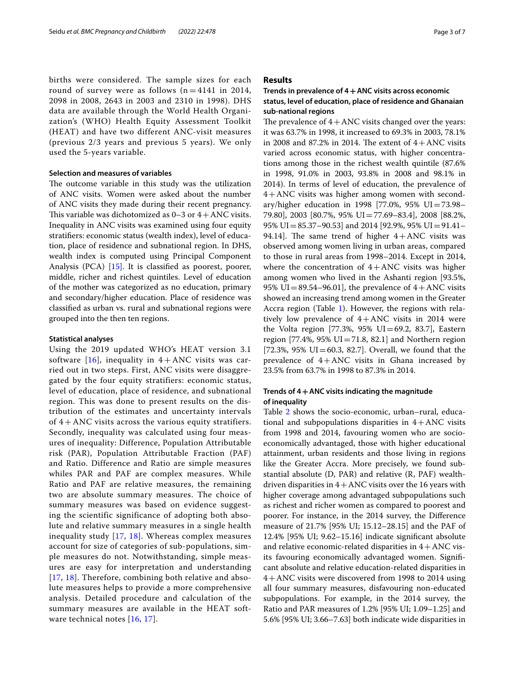births were considered. The sample sizes for each round of survey were as follows  $(n = 4141$  in 2014, 2098 in 2008, 2643 in 2003 and 2310 in 1998). DHS data are available through the World Health Organization's (WHO) Health Equity Assessment Toolkit (HEAT) and have two different ANC-visit measures (previous 2/3 years and previous 5 years). We only used the 5-years variable.

# **Selection and measures of variables**

The outcome variable in this study was the utilization of ANC visits. Women were asked about the number of ANC visits they made during their recent pregnancy. This variable was dichotomized as  $0-3$  or  $4+$ ANC visits. Inequality in ANC visits was examined using four equity stratifers: economic status (wealth index), level of education, place of residence and subnational region. In DHS, wealth index is computed using Principal Component Analysis (PCA) [[15\]](#page-6-3). It is classifed as poorest, poorer, middle, richer and richest quintiles. Level of education of the mother was categorized as no education, primary and secondary/higher education. Place of residence was classifed as urban vs. rural and subnational regions were grouped into the then ten regions.

## **Statistical analyses**

Using the 2019 updated WHO's HEAT version 3.1 software [[16\]](#page-6-4), inequality in  $4 + \text{ANC}$  visits was carried out in two steps. First, ANC visits were disaggregated by the four equity stratifiers: economic status, level of education, place of residence, and subnational region. This was done to present results on the distribution of the estimates and uncertainty intervals of  $4 + ANC$  visits across the various equity stratifiers. Secondly, inequality was calculated using four measures of inequality: Difference, Population Attributable risk (PAR), Population Attributable Fraction (PAF) and Ratio. Difference and Ratio are simple measures whiles PAR and PAF are complex measures. While Ratio and PAF are relative measures, the remaining two are absolute summary measures. The choice of summary measures was based on evidence suggesting the scientific significance of adopting both absolute and relative summary measures in a single health inequality study [\[17,](#page-6-5) [18\]](#page-6-6). Whereas complex measures account for size of categories of sub-populations, simple measures do not. Notwithstanding, simple measures are easy for interpretation and understanding [[17](#page-6-5), [18\]](#page-6-6). Therefore, combining both relative and absolute measures helps to provide a more comprehensive analysis. Detailed procedure and calculation of the summary measures are available in the HEAT software technical notes [[16](#page-6-4), [17\]](#page-6-5).

# **Results**

# **Trends in prevalence of 4+ANC visits across economic status, level of education, place of residence and Ghanaian sub‑national regions**

The prevalence of  $4 + \text{ANC}$  visits changed over the years: it was 63.7% in 1998, it increased to 69.3% in 2003, 78.1% in 2008 and 87.2% in 2014. The extent of  $4 + \text{ANC}$  visits varied across economic status, with higher concentrations among those in the richest wealth quintile (87.6% in 1998, 91.0% in 2003, 93.8% in 2008 and 98.1% in 2014). In terms of level of education, the prevalence of 4+ANC visits was higher among women with secondary/higher education in 1998 [77.0%, 95% UI=73.98– 79.80], 2003 [80.7%, 95% UI=77.69–83.4], 2008 [88.2%, 95% UI=85.37–90.53] and 2014 [92.9%, 95% UI=91.41– 94.14]. The same trend of higher  $4 + ANC$  visits was observed among women living in urban areas, compared to those in rural areas from 1998–2014. Except in 2014, where the concentration of  $4+$ ANC visits was higher among women who lived in the Ashanti region [93.5%, 95% UI=89.54–96.01], the prevalence of  $4+$ ANC visits showed an increasing trend among women in the Greater Accra region (Table [1](#page-3-0)). However, the regions with relatively low prevalence of 4+ANC visits in 2014 were the Volta region [77.3%,  $95\%$  UI=69.2, 83.7], Eastern region  $[77.4\%, 95\% \text{ UI} = 71.8, 82.1]$  and Northern region  $[72.3\%, 95\% \text{ UI} = 60.3, 82.7]$ . Overall, we found that the prevalence of  $4+$ ANC visits in Ghana increased by 23.5% from 63.7% in 1998 to 87.3% in 2014.

# **Trends of 4+ANC visits indicating the magnitude of inequality**

Table [2](#page-4-0) shows the socio-economic, urban–rural, educational and subpopulations disparities in  $4+$ ANC visits from 1998 and 2014, favouring women who are socioeconomically advantaged, those with higher educational attainment, urban residents and those living in regions like the Greater Accra. More precisely, we found substantial absolute (D, PAR) and relative (R, PAF) wealthdriven disparities in  $4 + \text{ANC}$  visits over the 16 years with higher coverage among advantaged subpopulations such as richest and richer women as compared to poorest and poorer. For instance, in the 2014 survey, the Diference measure of 21.7% [95% UI; 15.12–28.15] and the PAF of 12.4% [95% UI; 9.62–15.16] indicate signifcant absolute and relative economic-related disparities in  $4 + \text{ANC}$  visits favouring economically advantaged women. Signifcant absolute and relative education-related disparities in 4+ANC visits were discovered from 1998 to 2014 using all four summary measures, disfavouring non-educated subpopulations. For example, in the 2014 survey, the Ratio and PAR measures of 1.2% [95% UI; 1.09–1.25] and 5.6% [95% UI; 3.66–7.63] both indicate wide disparities in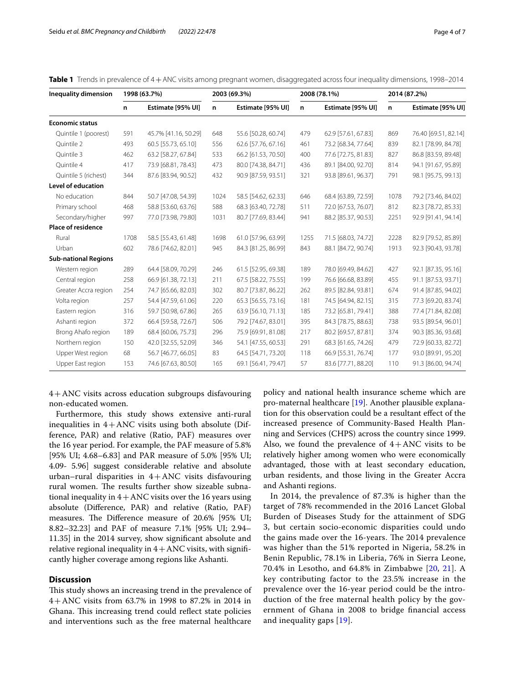<span id="page-3-0"></span>

| Table 1 Trends in prevalence of 4 + ANC visits among pregnant women, disaggregated across four inequality dimensions, 1998-2014 |  |  |  |  |  |  |
|---------------------------------------------------------------------------------------------------------------------------------|--|--|--|--|--|--|
|---------------------------------------------------------------------------------------------------------------------------------|--|--|--|--|--|--|

| <b>Inequality dimension</b> | 1998 (63.7%) |                      | 2003 (69.3%) |                     |      | 2008 (78.1%)        | 2014 (87.2%) |                      |  |
|-----------------------------|--------------|----------------------|--------------|---------------------|------|---------------------|--------------|----------------------|--|
|                             | n.           | Estimate [95% UI]    | n            | Estimate [95% UI]   | n    | Estimate [95% UI]   | n            | Estimate [95% UI]    |  |
| <b>Economic status</b>      |              |                      |              |                     |      |                     |              |                      |  |
| Quintile 1 (poorest)        | 591          | 45.7% [41.16, 50.29] | 648          | 55.6 [50.28, 60.74] | 479  | 62.9 [57.61, 67.83] | 869          | 76.40 [69.51, 82.14] |  |
| Ouintile 2                  | 493          | 60.5 [55.73, 65.10]  | 556          | 62.6 [57.76, 67.16] | 461  | 73.2 [68.34, 77.64] | 839          | 82.1 [78.99, 84.78]  |  |
| Quintile 3                  | 462          | 63.2 [58.27, 67.84]  | 533          | 66.2 [61.53, 70.50] | 400  | 77.6 [72.75, 81.83] | 827          | 86.8 [83.59, 89.48]  |  |
| Quintile 4                  | 417          | 73.9 [68.81, 78.43]  | 473          | 80.0 [74.38, 84.71] | 436  | 89.1 [84.00, 92.70] | 814          | 94.1 [91.67, 95.89]  |  |
| Quintile 5 (richest)        | 344          | 87.6 [83.94, 90.52]  | 432          | 90.9 [87.59, 93.51] | 321  | 93.8 [89.61, 96.37] | 791          | 98.1 [95.75, 99.13]  |  |
| <b>Level of education</b>   |              |                      |              |                     |      |                     |              |                      |  |
| No education                | 844          | 50.7 [47.08, 54.39]  | 1024         | 58.5 [54.62, 62.33] | 646  | 68.4 [63.89, 72.59] | 1078         | 79.2 [73.46, 84.02]  |  |
| Primary school              | 468          | 58.8 [53.60, 63.76]  | 588          | 68.3 [63.40, 72.78] | 511  | 72.0 [67.53, 76.07] | 812          | 82.3 [78.72, 85.33]  |  |
| Secondary/higher            | 997          | 77.0 [73.98, 79.80]  | 1031         | 80.7 [77.69, 83.44] | 941  | 88.2 [85.37, 90.53] | 2251         | 92.9 [91.41, 94.14]  |  |
| <b>Place of residence</b>   |              |                      |              |                     |      |                     |              |                      |  |
| Rural                       | 1708         | 58.5 [55.43, 61.48]  | 1698         | 61.0 [57.96, 63.99] | 1255 | 71.5 [68.03, 74.72] | 2228         | 82.9 [79.52, 85.89]  |  |
| Urban                       | 602          | 78.6 [74.62, 82.01]  | 945          | 84.3 [81.25, 86.99] | 843  | 88.1 [84.72, 90.74] | 1913         | 92.3 [90.43, 93.78]  |  |
| <b>Sub-national Regions</b> |              |                      |              |                     |      |                     |              |                      |  |
| Western region              | 289          | 64.4 [58.09, 70.29]  | 246          | 61.5 [52.95, 69.38] | 189  | 78.0 [69.49, 84.62] | 427          | 92.1 [87.35, 95.16]  |  |
| Central region              | 258          | 66.9 [61.38, 72.13]  | 211          | 67.5 [58.22, 75.55] | 199  | 76.6 [66.68, 83.89] | 455          | 91.1 [87.53, 93.71]  |  |
| Greater Accra region        | 254          | 74.7 [65.66, 82.03]  | 302          | 80.7 [73.87, 86.22] | 262  | 89.5 [82.84, 93.81] | 674          | 91.4 [87.85, 94.02]  |  |
| Volta region                | 257          | 54.4 [47.59, 61.06]  | 220          | 65.3 [56.55, 73.16] | 181  | 74.5 [64.94, 82.15] | 315          | 77.3 [69.20, 83.74]  |  |
| Eastern region              | 316          | 59.7 [50.98, 67.86]  | 265          | 63.9 [56.10, 71.13] | 185  | 73.2 [65.81, 79.41] | 388          | 77.4 [71.84, 82.08]  |  |
| Ashanti region              | 372          | 66.4 [59.58, 72.67]  | 506          | 79.2 [74.67, 83.01] | 395  | 84.3 [78.75, 88.63] | 738          | 93.5 [89.54, 96.01]  |  |
| Brong Ahafo region          | 189          | 68.4 [60.06, 75.73]  | 296          | 75.9 [69.91, 81.08] | 217  | 80.2 [69.57, 87.81] | 374          | 90.3 [85.36, 93.68]  |  |
| Northern region             | 150          | 42.0 [32.55, 52.09]  | 346          | 54.1 [47.55, 60.53] | 291  | 68.3 [61.65, 74.26] | 479          | 72.9 [60.33, 82.72]  |  |
| Upper West region           | 68           | 56.7 [46.77, 66.05]  | 83           | 64.5 [54.71, 73.20] | 118  | 66.9 [55.31, 76.74] | 177          | 93.0 [89.91, 95.20]  |  |
| Upper East region           | 153          | 74.6 [67.63, 80.50]  | 165          | 69.1 [56.41, 79.47] | 57   | 83.6 [77.71, 88.20] | 110          | 91.3 [86.00, 94.74]  |  |
|                             |              |                      |              |                     |      |                     |              |                      |  |

4+ANC visits across education subgroups disfavouring non-educated women.

Furthermore, this study shows extensive anti-rural inequalities in  $4+$ ANC visits using both absolute (Difference, PAR) and relative (Ratio, PAF) measures over the 16 year period. For example, the PAF measure of 5.8% [95% UI; 4.68–6.83] and PAR measure of 5.0% [95% UI; 4.09- 5.96] suggest considerable relative and absolute urban–rural disparities in  $4+$ ANC visits disfavouring rural women. The results further show sizeable subnational inequality in  $4 + ANC$  visits over the 16 years using absolute (Diference, PAR) and relative (Ratio, PAF) measures. The Difference measure of 20.6% [95% UI; 8.82–32.23] and PAF of measure 7.1% [95% UI; 2.94– 11.35] in the 2014 survey, show signifcant absolute and relative regional inequality in  $4 + \text{ANC}$  visits, with significantly higher coverage among regions like Ashanti.

# **Discussion**

This study shows an increasing trend in the prevalence of 4+ANC visits from 63.7% in 1998 to 87.2% in 2014 in Ghana. This increasing trend could reflect state policies and interventions such as the free maternal healthcare

policy and national health insurance scheme which are pro-maternal healthcare [\[19\]](#page-6-7). Another plausible explanation for this observation could be a resultant efect of the increased presence of Community-Based Health Planning and Services (CHPS) across the country since 1999. Also, we found the prevalence of  $4+$ ANC visits to be relatively higher among women who were economically advantaged, those with at least secondary education, urban residents, and those living in the Greater Accra and Ashanti regions.

In 2014, the prevalence of 87.3% is higher than the target of 78% recommended in the 2016 Lancet Global Burden of Diseases Study for the attainment of SDG 3, but certain socio-economic disparities could undo the gains made over the 16-years. The 2014 prevalence was higher than the 51% reported in Nigeria, 58.2% in Benin Republic, 78.1% in Liberia, 76% in Sierra Leone, 70.4% in Lesotho, and 64.8% in Zimbabwe [[20](#page-6-8), [21](#page-6-9)]. A key contributing factor to the 23.5% increase in the prevalence over the 16-year period could be the introduction of the free maternal health policy by the government of Ghana in 2008 to bridge fnancial access and inequality gaps [[19](#page-6-7)].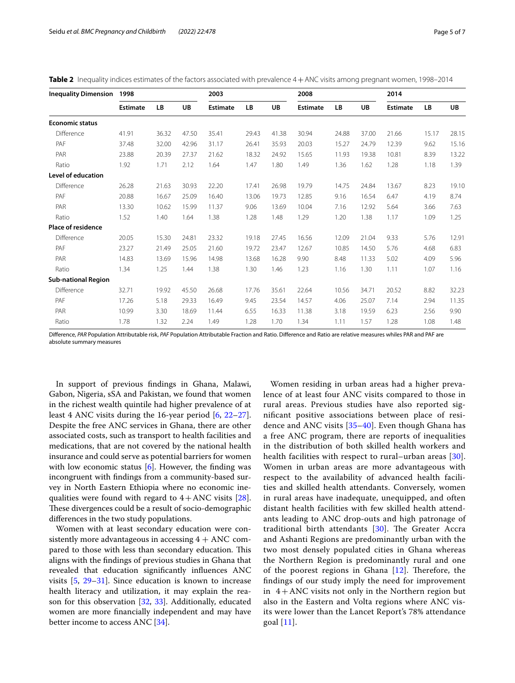| <b>Inequality Dimension</b> | 1998            |       |       | 2003            |       |       | 2008            |       |       | 2014            |       |           |
|-----------------------------|-----------------|-------|-------|-----------------|-------|-------|-----------------|-------|-------|-----------------|-------|-----------|
|                             | <b>Estimate</b> | LB    | UB    | <b>Estimate</b> | LB    | UB    | <b>Estimate</b> | LB    | UB    | <b>Estimate</b> | LB    | <b>UB</b> |
| <b>Economic status</b>      |                 |       |       |                 |       |       |                 |       |       |                 |       |           |
| Difference                  | 41.91           | 36.32 | 47.50 | 35.41           | 29.43 | 41.38 | 30.94           | 24.88 | 37.00 | 21.66           | 15.17 | 28.15     |
| PAF                         | 37.48           | 32.00 | 42.96 | 31.17           | 26.41 | 35.93 | 20.03           | 15.27 | 24.79 | 12.39           | 9.62  | 15.16     |
| PAR                         | 23.88           | 20.39 | 27.37 | 21.62           | 18.32 | 24.92 | 15.65           | 11.93 | 19.38 | 10.81           | 8.39  | 13.22     |
| Ratio                       | 1.92            | 1.71  | 2.12  | 1.64            | 1.47  | 1.80  | 1.49            | 1.36  | 1.62  | 1.28            | 1.18  | 1.39      |
| <b>Level of education</b>   |                 |       |       |                 |       |       |                 |       |       |                 |       |           |
| Difference                  | 26.28           | 21.63 | 30.93 | 22.20           | 17.41 | 26.98 | 19.79           | 14.75 | 24.84 | 13.67           | 8.23  | 19.10     |
| PAF                         | 20.88           | 16.67 | 25.09 | 16.40           | 13.06 | 19.73 | 12.85           | 9.16  | 16.54 | 6.47            | 4.19  | 8.74      |
| PAR                         | 13.30           | 10.62 | 15.99 | 11.37           | 9.06  | 13.69 | 10.04           | 7.16  | 12.92 | 5.64            | 3.66  | 7.63      |
| Ratio                       | 1.52            | 1.40  | 1.64  | 1.38            | 1.28  | 1.48  | 1.29            | 1.20  | 1.38  | 1.17            | 1.09  | 1.25      |
| <b>Place of residence</b>   |                 |       |       |                 |       |       |                 |       |       |                 |       |           |
| Difference                  | 20.05           | 15.30 | 24.81 | 23.32           | 19.18 | 27.45 | 16.56           | 12.09 | 21.04 | 9.33            | 5.76  | 12.91     |
| PAF                         | 23.27           | 21.49 | 25.05 | 21.60           | 19.72 | 23.47 | 12.67           | 10.85 | 14.50 | 5.76            | 4.68  | 6.83      |
| PAR                         | 14.83           | 13.69 | 15.96 | 14.98           | 13.68 | 16.28 | 9.90            | 8.48  | 11.33 | 5.02            | 4.09  | 5.96      |
| Ratio                       | 1.34            | 1.25  | 1.44  | 1.38            | 1.30  | 1.46  | 1.23            | 1.16  | 1.30  | 1.11            | 1.07  | 1.16      |
| <b>Sub-national Region</b>  |                 |       |       |                 |       |       |                 |       |       |                 |       |           |
| Difference                  | 32.71           | 19.92 | 45.50 | 26.68           | 17.76 | 35.61 | 22.64           | 10.56 | 34.71 | 20.52           | 8.82  | 32.23     |
| PAF                         | 17.26           | 5.18  | 29.33 | 16.49           | 9.45  | 23.54 | 14.57           | 4.06  | 25.07 | 7.14            | 2.94  | 11.35     |
| PAR                         | 10.99           | 3.30  | 18.69 | 11.44           | 6.55  | 16.33 | 11.38           | 3.18  | 19.59 | 6.23            | 2.56  | 9.90      |
| Ratio                       | 1.78            | 1.32  | 2.24  | 1.49            | 1.28  | 1.70  | 1.34            | 1.11  | 1.57  | 1.28            | 1.08  | 1.48      |

<span id="page-4-0"></span>**Table 2** Inequality indices estimates of the factors associated with prevalence 4 + ANC visits among pregnant women, 1998–2014

Diference, *PAR* Population Attributable risk, *PAF* Population Attributable Fraction and Ratio. Diference and Ratio are relative measures whiles PAR and PAF are absolute summary measures

In support of previous fndings in Ghana, Malawi, Gabon, Nigeria, sSA and Pakistan, we found that women in the richest wealth quintile had higher prevalence of at least 4 ANC visits during the 16-year period [\[6](#page-5-5), [22](#page-6-10)[–27](#page-6-11)]. Despite the free ANC services in Ghana, there are other associated costs, such as transport to health facilities and medications, that are not covered by the national health insurance and could serve as potential barriers for women with low economic status  $[6]$  $[6]$ . However, the finding was incongruent with fndings from a community-based survey in North Eastern Ethiopia where no economic inequalities were found with regard to  $4 + ANC$  visits [\[28](#page-6-12)]. These divergences could be a result of socio-demographic diferences in the two study populations.

Women with at least secondary education were consistently more advantageous in accessing  $4 + \text{ANC}$  compared to those with less than secondary education. This aligns with the fndings of previous studies in Ghana that revealed that education signifcantly infuences ANC visits [[5,](#page-5-4) [29–](#page-6-13)[31\]](#page-6-14). Since education is known to increase health literacy and utilization, it may explain the reason for this observation [\[32](#page-6-15), [33\]](#page-6-16). Additionally, educated women are more fnancially independent and may have better income to access ANC [\[34\]](#page-6-17).

Women residing in urban areas had a higher prevalence of at least four ANC visits compared to those in rural areas. Previous studies have also reported signifcant positive associations between place of residence and ANC visits [\[35](#page-6-18)[–40](#page-6-19)]. Even though Ghana has a free ANC program, there are reports of inequalities in the distribution of both skilled health workers and health facilities with respect to rural–urban areas [[30](#page-6-20)]. Women in urban areas are more advantageous with respect to the availability of advanced health facilities and skilled health attendants. Conversely, women in rural areas have inadequate, unequipped, and often distant health facilities with few skilled health attendants leading to ANC drop-outs and high patronage of traditional birth attendants  $[30]$  $[30]$  $[30]$ . The Greater Accra and Ashanti Regions are predominantly urban with the two most densely populated cities in Ghana whereas the Northern Region is predominantly rural and one of the poorest regions in Ghana  $[12]$  $[12]$  $[12]$ . Therefore, the fndings of our study imply the need for improvement in  $4+$  ANC visits not only in the Northern region but also in the Eastern and Volta regions where ANC visits were lower than the Lancet Report's 78% attendance goal [[11](#page-5-10)].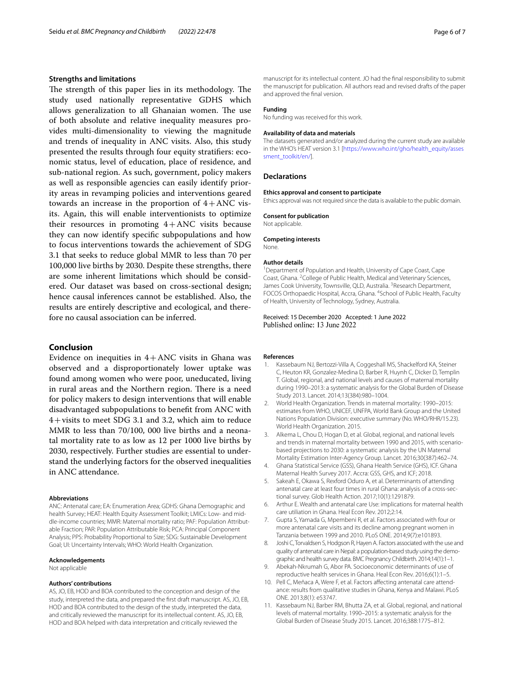# **Strengths and limitations**

The strength of this paper lies in its methodology. The study used nationally representative GDHS which allows generalization to all Ghanaian women. The use of both absolute and relative inequality measures provides multi-dimensionality to viewing the magnitude and trends of inequality in ANC visits. Also, this study presented the results through four equity stratifers: economic status, level of education, place of residence, and sub-national region. As such, government, policy makers as well as responsible agencies can easily identify priority areas in revamping policies and interventions geared towards an increase in the proportion of  $4+ABC$  visits. Again, this will enable interventionists to optimize their resources in promoting  $4+$ ANC visits because they can now identify specifc subpopulations and how to focus interventions towards the achievement of SDG 3.1 that seeks to reduce global MMR to less than 70 per 100,000 live births by 2030. Despite these strengths, there are some inherent limitations which should be considered. Our dataset was based on cross-sectional design; hence causal inferences cannot be established. Also, the results are entirely descriptive and ecological, and therefore no causal association can be inferred.

# **Conclusion**

Evidence on inequities in  $4+$ ANC visits in Ghana was observed and a disproportionately lower uptake was found among women who were poor, uneducated, living in rural areas and the Northern region. There is a need for policy makers to design interventions that will enable disadvantaged subpopulations to beneft from ANC with 4+visits to meet SDG 3.1 and 3.2, which aim to reduce MMR to less than 70/100, 000 live births and a neonatal mortality rate to as low as 12 per 1000 live births by 2030, respectively. Further studies are essential to understand the underlying factors for the observed inequalities in ANC attendance.

#### **Abbreviations**

ANC: Antenatal care; EA: Enumeration Area; GDHS: Ghana Demographic and health Survey; HEAT: Health Equity Assessment Toolkit; LMICs: Low- and middle-income countries; MMR: Maternal mortality ratio; PAF: Population Attributable Fraction; PAR: Population Attributable Risk; PCA: Principal Component Analysis; PPS: Probability Proportional to Size; SDG: Sustainable Development Goal; UI: Uncertainty Intervals; WHO: World Health Organization.

#### **Acknowledgements**

Not applicable

#### **Authors' contributions**

AS, JO, EB, HOD and BOA contributed to the conception and design of the study, interpreted the data, and prepared the frst draft manuscript. AS, JO, EB, HOD and BOA contributed to the design of the study, interpreted the data, and critically reviewed the manuscript for its intellectual content. AS, JO, EB, HOD and BOA helped with data interpretation and critically reviewed the

manuscript for its intellectual content. JO had the fnal responsibility to submit the manuscript for publication. All authors read and revised drafts of the paper and approved the fnal version.

#### **Funding**

No funding was received for this work.

#### **Availability of data and materials**

The datasets generated and/or analyzed during the current study are available in the WHO's HEAT version 3.1 [\[https://www.who.int/gho/health\\_equity/asses](https://www.who.int/gho/health_equity/assessment_toolkit/en/) [sment\\_toolkit/en/](https://www.who.int/gho/health_equity/assessment_toolkit/en/)].

#### **Declarations**

#### **Ethics approval and consent to participate**

Ethics approval was not required since the data is available to the public domain.

#### **Consent for publication**

Not applicable.

#### **Competing interests**

None.

#### **Author details**

<sup>1</sup> Department of Population and Health, University of Cape Coast, Cape Coast, Ghana. <sup>2</sup> College of Public Health, Medical and Veterinary Sciences, James Cook University, Townsville, QLD, Australia. <sup>3</sup> Research Department, FOCOS Orthopaedic Hospital, Accra, Ghana. <sup>4</sup>School of Public Health, Faculty of Health, University of Technology, Sydney, Australia.

# Received: 15 December 2020 Accepted: 1 June 2022 Published online: 13 June 2022

#### **References**

- <span id="page-5-0"></span>1. Kassebaum NJ, Bertozzi-Villa A, Coggeshall MS, Shackelford KA, Steiner C, Heuton KR, Gonzalez-Medina D, Barber R, Huynh C, Dicker D, Templin T. Global, regional, and national levels and causes of maternal mortality during 1990–2013: a systematic analysis for the Global Burden of Disease Study 2013. Lancet. 2014;13(384):980–1004.
- <span id="page-5-1"></span>2. World Health Organization. Trends in maternal mortality: 1990–2015: estimates from WHO, UNICEF, UNFPA, World Bank Group and the United Nations Population Division: executive summary (No. WHO/RHR/15.23). World Health Organization. 2015.
- <span id="page-5-2"></span>3. Alkema L, Chou D, Hogan D, et al. Global, regional, and national levels and trends in maternal mortality between 1990 and 2015, with scenariobased projections to 2030: a systematic analysis by the UN Maternal Mortality Estimation Inter-Agency Group. Lancet. 2016;30(387):462–74.
- <span id="page-5-3"></span>4. Ghana Statistical Service (GSS), Ghana Health Service (GHS), ICF. Ghana Maternal Health Survey 2017. Accra: GSS, GHS, and ICF; 2018.
- <span id="page-5-4"></span>5. Sakeah E, Okawa S, Rexford Oduro A, et al. Determinants of attending antenatal care at least four times in rural Ghana: analysis of a cross-sectional survey. Glob Health Action. 2017;10(1):1291879.
- <span id="page-5-5"></span>6. Arthur E. Wealth and antenatal care Use: implications for maternal health care utiliation in Ghana. Heal Econ Rev. 2012;2:14.
- <span id="page-5-6"></span>7. Gupta S, Yamada G, Mpembeni R, et al. Factors associated with four or more antenatal care visits and its decline among pregnant women in Tanzania between 1999 and 2010. PLoS ONE. 2014;9(7):e101893.
- <span id="page-5-7"></span>8. Joshi C, Torvaldsen S, Hodgson R, Hayen A. Factors associated with the use and quality of antenatal care in Nepal: a population-based study using the demographic and health survey data. BMC Pregnancy Childbirth. 2014;14(1):1–1.
- <span id="page-5-8"></span>9. Abekah-Nkrumah G, Abor PA. Socioeconomic determinants of use of reproductive health services in Ghana. Heal Econ Rev. 2016;6(1):1–5.
- <span id="page-5-9"></span>10. Pell C, Meñaca A, Were F, et al. Factors affecting antenatal care attendance: results from qualitative studies in Ghana, Kenya and Malawi. PLoS ONE. 2013;8(1): e53747.
- <span id="page-5-10"></span>11. Kassebaum NJ, Barber RM, Bhutta ZA, et al. Global, regional, and national levels of maternal mortality. 1990–2015: a systematic analysis for the Global Burden of Disease Study 2015. Lancet. 2016;388:1775–812.